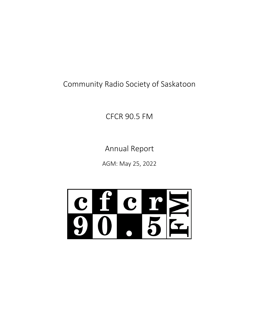Community Radio Society of Saskatoon

CFCR 90.5 FM

Annual Report

AGM: May 25, 2022

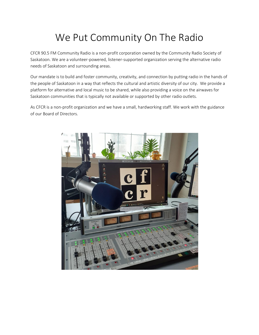# We Put Community On The Radio

CFCR 90.5 FM Community Radio is a non-profit corporation owned by the Community Radio Society of Saskatoon. We are a volunteer-powered, listener-supported organization serving the alternative radio needs of Saskatoon and surrounding areas.

Our mandate is to build and foster community, creativity, and connection by putting radio in the hands of the people of Saskatoon in a way that reflects the cultural and artistic diversity of our city. We provide a platform for alternative and local music to be shared, while also providing a voice on the airwaves for Saskatoon communities that is typically not available or supported by other radio outlets.

As CFCR is a non-profit organization and we have a small, hardworking staff. We work with the guidance of our Board of Directors.

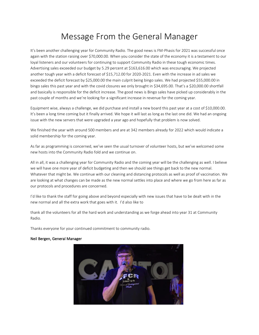### Message From the General Manager

It's been another challenging year for Community Radio. The good news is FM-Phasis for 2021 was successful once again with the station raising over \$70,000.00. When you consider the state of the economy it is a testament to our loyal listeners and our volunteers for continuing to support Community Radio in these tough economic times. Advertising sales exceeded our budget by 5.29 percent at \$163,616.00 which was encouraging. We projected another tough year with a deficit forecast of \$15,712.00 for 2020-2021. Even with the increase in ad sales we exceeded the deficit forecast by \$25,000.00 the main culprit being bingo sales. We had projected \$55,000.00 in bingo sales this past year and with the covid closures we only brought in \$34,695.00. That's a \$20,000.00 shortfall and basically is responsible for the deficit increase. The good news is Bingo sales have picked up considerably in the past couple of months and we're looking for a significant increase in revenue for the coming year.

Equipment wise, always a challenge, we did purchase and install a new board this past year at a cost of \$10,000.00. It's been a long time coming but it finally arrived. We hope it will last as long as the last one did. We had an ongoing issue with the new servers that were upgraded a year ago and hopefully that problem is now solved.

We finished the year with around 500 members and are at 342 members already for 2022 which would indicate a solid membership for the coming year.

As far as programming is concerned, we've seen the usual turnover of volunteer hosts, but we've welcomed some new hosts into the Community Radio fold and we continue on.

All in all, it was a challenging year for Community Radio and the coming year will be the challenging as well. I believe we will have one more year of deficit budgeting and then we should see things get back to the new normal. Whatever that might be. We continue with our cleaning and distancing protocols as well as proof of vaccination. We are looking at what changes can be made as the new normal settles into place and where we go from here as far as our protocols and procedures are concerned.

I'd like to thank the staff for going above and beyond especially with new issues that have to be dealt with in the new normal and all the extra work that goes with it. I'd also like to

thank all the volunteers for all the hard work and understanding as we forge ahead into year 31 at Community Radio.

Thanks everyone for your continued commitment to community radio.

#### Neil Bergen, General Manager

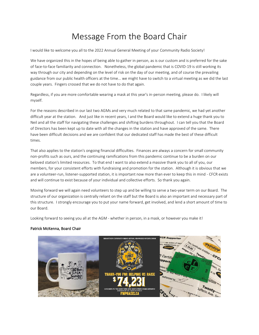## Message From the Board Chair

I would like to welcome you all to the 2022 Annual General Meeting of your Community Radio Society!

We have organized this in the hopes of being able to gather in person, as is our custom and is preferred for the sake of face-to-face familiarity and connection. Nonetheless, the global pandemic that is COVID-19 is still working its way through our city and depending on the level of risk on the day of our meeting, and of course the prevailing guidance from our public health officers at the time... we might have to switch to a virtual meeting as we did the last couple years. Fingers crossed that we do not have to do that again.

Regardless, if you are more comfortable wearing a mask at this year's in-person meeting, please do. I likely will myself.

For the reasons described in our last two AGMs and very much related to that same pandemic, we had yet another difficult year at the station. And just like in recent years, I and the Board would like to extend a huge thank you to Neil and all the staff for navigating these challenges and shifting burdens throughout. I can tell you that the Board of Directors has been kept up to date with all the changes in the station and have approved of the same. There have been difficult decisions and we are confident that our dedicated staff has made the best of these difficult times.

That also applies to the station's ongoing financial difficulties. Finances are always a concern for small community non-profits such as ours, and the continuing ramifications from this pandemic continue to be a burden on our beloved station's limited resources. To that end I want to also extend a massive thank you to all of you, our members, for your consistent efforts with fundraising and promotion for the station. Although it is obvious that we are a volunteer-run, listener-supported station, it is important now more than ever to keep this in mind - CFCR exists and will continue to exist because of your individual and collective efforts. So thank you again.

Moving forward we will again need volunteers to step up and be willing to serve a two-year term on our Board. The structure of our organization is centrally reliant on the staff but the Board is also an important and necessary part of this structure. I strongly encourage you to put your name forward, get involved, and lend a short amount of time to our Board.

Looking forward to seeing you all at the AGM - whether in person, in a mask, or however you make it!

#### Patrick McKenna, Board Chair

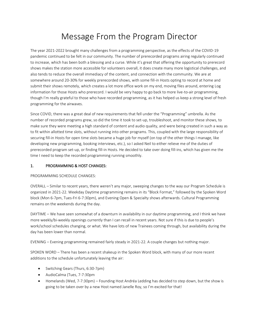### Message From the Program Director

The year 2021-2022 brought many challenges from a programming perspective, as the effects of the COVID-19 pandemic continued to be felt in our community. The number of prerecorded programs airing regularly continued to increase, which has been both a blessing and a curse. While it's great that offering the opportunity to prerecord shows makes the station more accessible for volunteers overall, it does create many more logistical challenges, and also tends to reduce the overall immediacy of the content, and connection with the community. We are at somewhere around 20-30% for weekly prerecorded shows, with some fill-in Hosts opting to record at home and submit their shows remotely, which creates a lot more office work on my end, moving files around, entering Log information for those Hosts who prerecord. I would be very happy to go back to more live-to-air programming, though I'm really grateful to those who have recorded programming, as it has helped us keep a strong level of fresh programming for the airwaves.

Since COVID, there was a great deal of new requirements that fell under the "Programming" umbrella. As the number of recorded programs grew, so did the time it took to set-up, troubleshoot, and monitor these shows, to make sure they were meeting a high standard of content and audio quality, and were being created in such a way as to fit within allotted time slots, without running into other programs. This, coupled with the large responsibility of securing fill-in Hosts for open time slots became a huge job for myself (on top of the other things I manage, like developing new programming, booking interviews, etc.), so I asked Neil to either relieve me of the duties of prerecorded program set-up, or finding fill-in Hosts. He decided to take over doing fill-ins, which has given me the time I need to keep the recorded programming running smoothly.

#### 1. PROGRAMMING & HOST CHANGES:

#### PROGRAMMING SCHEDULE CHANGES:

OVERALL – Similar to recent years, there weren't any major, sweeping changes to the way our Program Schedule is organized in 2021-22. Weekday Daytime programming remains in its "Block Format," followed by the Spoken Word block (Mon 6-7pm, Tues-Fri 6-7:30pm), and Evening Open & Specialty shows afterwards. Cultural Programming remains on the weekends during the day.

DAYTIME – We have seen somewhat of a downturn in availability in our daytime programming, and I think we have more weekly/bi-weekly openings currently than I can recall in recent years. Not sure if this is due to people's work/school schedules changing, or what. We have lots of new Trainees coming through, but availability during the day has been lower than normal.

EVENING – Evening programming remained fairly steady in 2021-22. A couple changes but nothing major.

SPOKEN WORD – There has been a recent shakeup in the Spoken Word block, with many of our more recent additions to the schedule unfortunately leaving the air:

- Switching Gears (Thurs, 6:30-7pm)
- AudioCalma (Tues, 7-7:30pm
- Homelands (Wed, 7-7:30pm) Founding Host Andréa Ledding has decided to step down, but the show is going to be taken over by a new Host named Janelle Roy, so I'm excited for that!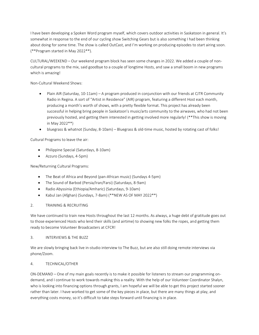I have been developing a Spoken Word program myself, which covers outdoor activities in Saskatoon in general. It's somewhat in response to the end of our cycling show Switching Gears but is also something I had been thinking about doing for some time. The show is called OutCast, and I'm working on producing episodes to start airing soon. (\*\*Program started in May 2022\*\*).

CULTURAL/WEEKEND – Our weekend program block has seen some changes in 2022. We added a couple of noncultural programs to the mix, said goodbye to a couple of longtime Hosts, and saw a small boom in new programs which is amazing!

Non-Cultural Weekend Shows:

- Plain AIR (Saturday, 10-11am) A program produced in conjunction with our friends at CJTR Community Radio in Regina. A sort of "Artist in Residence" (AIR) program, featuring a different Host each month, producing a month's worth of shows, with a pretty flexible format. This project has already been successful in helping bring people in Saskatoon's music/arts community to the airwaves, who had not been previously hosted, and getting them interested in getting involved more regularly! (\*\*This show is moving in May 2022\*\*)
- bluegrass & whatnot (Sunday, 8-10am) Bluegrass & old-time music, hosted by rotating cast of folks!

Cultural Programs to leave the air:

- Philippine Special (Saturdays, 8-10am)
- Azzuro (Sundays, 4-5pm)

New/Returning Cultural Programs:

- The Beat of Africa and Beyond (pan-African music) (Sundays 4-5pm)
- The Sound of Barbod (Persia/Iran/Farsi) (Saturdays, 8-9am)
- Radio Abyssinia (Ethiopia/Amharic) (Saturdays, 9-10am)
- Kabul Jan (Afghan) (Sundays, 7-8am) (\*\*NEW AS OF MAY 2022\*\*)

#### 2. TRAINING & RECRUITING

We have continued to train new Hosts throughout the last 12 months. As always, a huge debt of gratitude goes out to those experienced Hosts who lend their skills (and airtime) to showing new folks the ropes, and getting them ready to become Volunteer Broadcasters at CFCR!

#### 3. INTERVIEWS & THE BUZZ

We are slowly bringing back live in-studio interview to The Buzz, but are also still doing remote interviews via phone/Zoom.

#### 4. TECHNICAL/OTHER

ON-DEMAND – One of my main goals recently is to make it possible for listeners to stream our programming ondemand, and I continue to work towards making this a reality. With the help of our Volunteer Coordinator Shalyn, who is looking into financing options through grants, I am hopeful we will be able to get this project started sooner rather than later. I have worked to get some of the key pieces in place, but there are many things at play, and everything costs money, so it's difficult to take steps forward until financing is in place.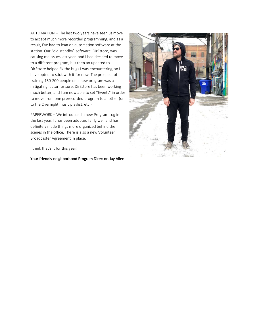AUTOMATION – The last two years have seen us move to accept much more recorded programming, and as a result, I've had to lean on automation software at the station. Our "old standby" software, DirEttore, was causing me issues last year, and I had decided to move to a different program, but then an updated to DirEttore helped fix the bugs I was encountering, so I have opted to stick with it for now. The prospect of training 150-200 people on a new program was a mitigating factor for sure. DirEttore has been working much better, and I am now able to set "Events" in order to move from one prerecorded program to another (or to the Overnight music playlist, etc.)

PAPERWORK – We introduced a new Program Log in the last year. It has been adopted fairly well and has definitely made things more organized behind the scenes in the office. There is also a new Volunteer Broadcaster Agreement in place.

I think that's it for this year!

Your friendly neighborhood Program Director, Jay Allen

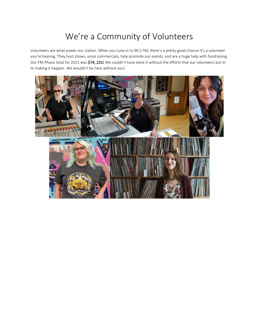## We're a Community of Volunteers

Volunteers are what power our station. When you tune in to 90.5 FM, there's a pretty good chance it's a volunteer you're hearing. They host shows, voice commercials, help promote our events, and are a huge help with fundraising. Our FM-Phasis total for 2021 was \$74, 231! We couldn't have done it without the efforts that our volunteers put in to making it happen. We wouldn't be here without you!